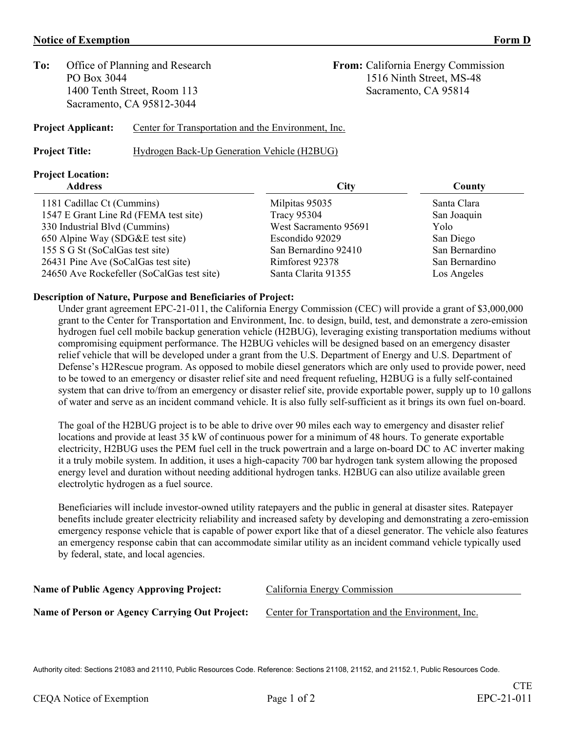## **Notice of Exemption Form D**

**To:** Office of Planning and Research **From:** California Energy Commission 1400 Tenth Street, Room 113 Sacramento, CA 95814 Sacramento, CA 95812-3044

PO Box 3044 1516 Ninth Street, MS-48

## **Project Applicant:** Center for Transportation and the Environment, Inc.

**Project Title:** Hydrogen Back-Up Generation Vehicle (H2BUG)

# **Project Location:**

#### **Description of Nature, Purpose and Beneficiaries of Project:**

Under grant agreement EPC-21-011, the California Energy Commission (CEC) will provide a grant of \$3,000,000 grant to the Center for Transportation and Environment, Inc. to design, build, test, and demonstrate a zero-emission hydrogen fuel cell mobile backup generation vehicle (H2BUG), leveraging existing transportation mediums without compromising equipment performance. The H2BUG vehicles will be designed based on an emergency disaster relief vehicle that will be developed under a grant from the U.S. Department of Energy and U.S. Department of Defense's H2Rescue program. As opposed to mobile diesel generators which are only used to provide power, need to be towed to an emergency or disaster relief site and need frequent refueling, H2BUG is a fully self-contained system that can drive to/from an emergency or disaster relief site, provide exportable power, supply up to 10 gallons of water and serve as an incident command vehicle. It is also fully self-sufficient as it brings its own fuel on-board.

The goal of the H2BUG project is to be able to drive over 90 miles each way to emergency and disaster relief locations and provide at least 35 kW of continuous power for a minimum of 48 hours. To generate exportable electricity, H2BUG uses the PEM fuel cell in the truck powertrain and a large on-board DC to AC inverter making it a truly mobile system. In addition, it uses a high-capacity 700 bar hydrogen tank system allowing the proposed energy level and duration without needing additional hydrogen tanks. H2BUG can also utilize available green electrolytic hydrogen as a fuel source.

Beneficiaries will include investor-owned utility ratepayers and the public in general at disaster sites. Ratepayer benefits include greater electricity reliability and increased safety by developing and demonstrating a zero-emission emergency response vehicle that is capable of power export like that of a diesel generator. The vehicle also features an emergency response cabin that can accommodate similar utility as an incident command vehicle typically used by federal, state, and local agencies.

| California Energy Commission                        |
|-----------------------------------------------------|
| Center for Transportation and the Environment, Inc. |
|                                                     |

Authority cited: Sections 21083 and 21110, Public Resources Code. Reference: Sections 21108, 21152, and 21152.1, Public Resources Code.